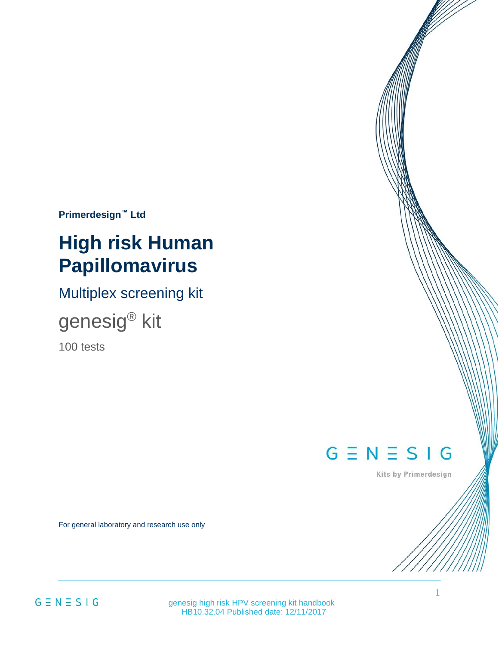**Primerdesign™ Ltd**

# **High risk Human Papillomavirus**

Multiplex screening kit

genesig® kit

100 tests

 $G \equiv N \equiv S \mid G$ 

Kits by Primerdesign

For general laboratory and research use only

 genesig high risk HPV screening kit handbook HB10.32.04 Published date: 12/11/2017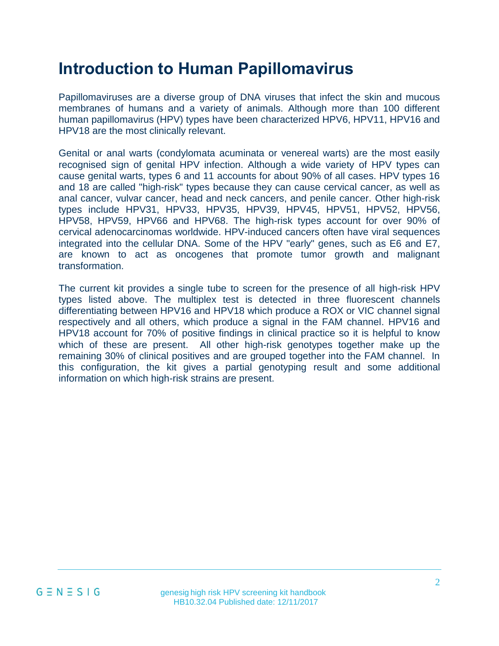### **Introduction to Human Papillomavirus**

Papillomaviruses are a diverse group of DNA viruses that infect the skin and mucous membranes of humans and a variety of animals. Although more than 100 different human papillomavirus (HPV) types have been characterized HPV6, HPV11, HPV16 and HPV18 are the most clinically relevant.

Genital or anal warts (condylomata acuminata or venereal warts) are the most easily recognised sign of genital HPV infection. Although a wide variety of HPV types can cause genital warts, types 6 and 11 accounts for about 90% of all cases. HPV types 16 and 18 are called "high-risk" types because they can cause cervical cancer, as well as anal cancer, vulvar cancer, head and neck cancers, and penile cancer. Other high-risk types include HPV31, HPV33, HPV35, HPV39, HPV45, HPV51, HPV52, HPV56, HPV58, HPV59, HPV66 and HPV68. The high-risk types account for over 90% of cervical adenocarcinomas worldwide. HPV-induced cancers often have viral sequences integrated into the cellular DNA. Some of the HPV "early" genes, such as E6 and E7, are known to act as oncogenes that promote tumor growth and malignant transformation.

The current kit provides a single tube to screen for the presence of all high-risk HPV types listed above. The multiplex test is detected in three fluorescent channels differentiating between HPV16 and HPV18 which produce a ROX or VIC channel signal respectively and all others, which produce a signal in the FAM channel. HPV16 and HPV18 account for 70% of positive findings in clinical practice so it is helpful to know which of these are present. All other high-risk genotypes together make up the remaining 30% of clinical positives and are grouped together into the FAM channel. In this configuration, the kit gives a partial genotyping result and some additional information on which high-risk strains are present.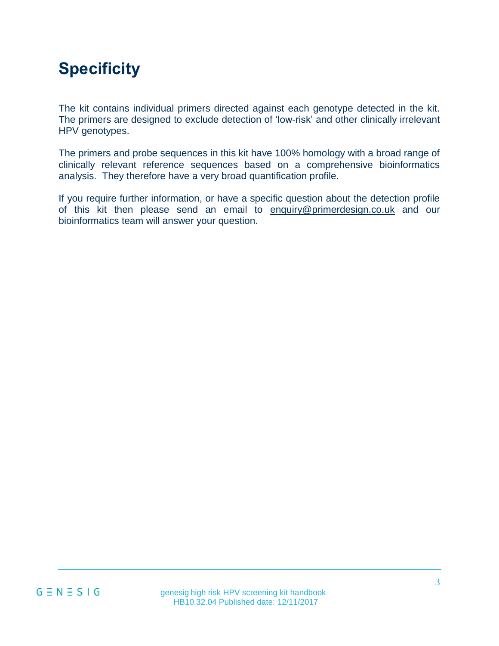# **Specificity**

The kit contains individual primers directed against each genotype detected in the kit. The primers are designed to exclude detection of 'low-risk' and other clinically irrelevant HPV genotypes.

The primers and probe sequences in this kit have 100% homology with a broad range of clinically relevant reference sequences based on a comprehensive bioinformatics analysis. They therefore have a very broad quantification profile.

If you require further information, or have a specific question about the detection profile of this kit then please send an email to [enquiry@primerdesign.co.uk](mailto:enquiry@primerdesign.co.uk) and our bioinformatics team will answer your question.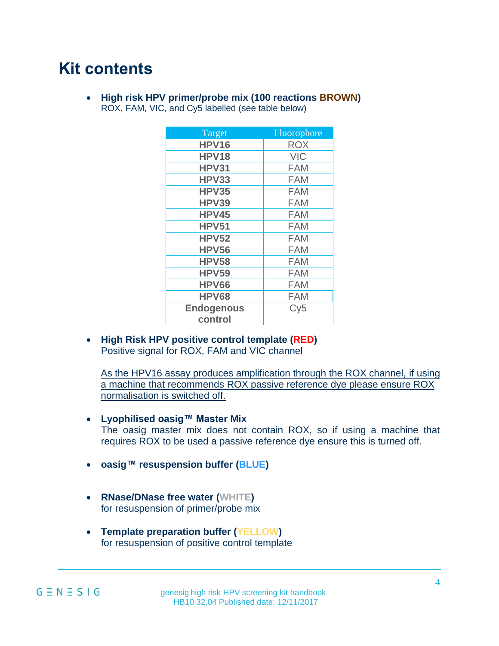### **Kit contents**

• **High risk HPV primer/probe mix (100 reactions BROWN)** ROX, FAM, VIC, and Cy5 labelled (see table below)

| Target            | Fluorophore |
|-------------------|-------------|
| HPV16             | <b>ROX</b>  |
| <b>HPV18</b>      | <b>VIC</b>  |
| <b>HPV31</b>      | <b>FAM</b>  |
| HPV33             | <b>FAM</b>  |
| <b>HPV35</b>      | <b>FAM</b>  |
| HPV39             | <b>FAM</b>  |
| HPV45             | <b>FAM</b>  |
| <b>HPV51</b>      | <b>FAM</b>  |
| <b>HPV52</b>      | <b>FAM</b>  |
| <b>HPV56</b>      | <b>FAM</b>  |
| <b>HPV58</b>      | <b>FAM</b>  |
| <b>HPV59</b>      | <b>FAM</b>  |
| <b>HPV66</b>      | <b>FAM</b>  |
| <b>HPV68</b>      | <b>FAM</b>  |
| <b>Endogenous</b> | Cy5         |
| control           |             |

• **High Risk HPV positive control template (RED)** Positive signal for ROX, FAM and VIC channel

As the HPV16 assay produces amplification through the ROX channel, if using a machine that recommends ROX passive reference dye please ensure ROX normalisation is switched off.

- **Lyophilised oasig™ Master Mix** The oasig master mix does not contain ROX, so if using a machine that requires ROX to be used a passive reference dye ensure this is turned off.
- **oasig™ resuspension buffer (BLUE)**
- **RNase/DNase free water (WHITE)** for resuspension of primer/probe mix
- **Template preparation buffer (YELLOW)** for resuspension of positive control template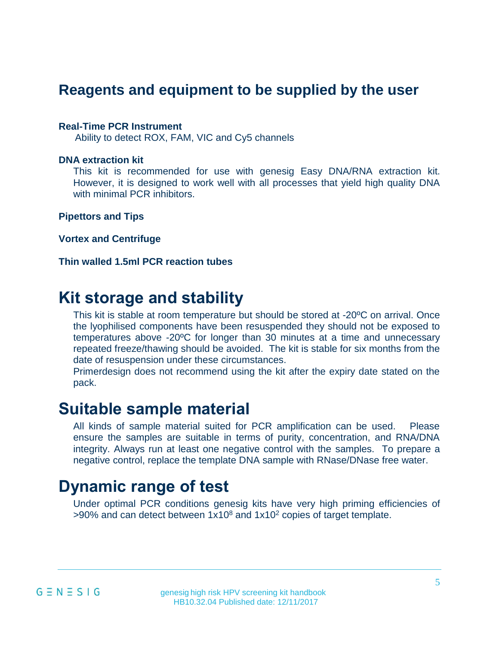### **Reagents and equipment to be supplied by the user**

#### **Real-Time PCR Instrument**

Ability to detect ROX, FAM, VIC and Cy5 channels

#### **DNA extraction kit**

This kit is recommended for use with genesig Easy DNA/RNA extraction kit. However, it is designed to work well with all processes that yield high quality DNA with minimal PCR inhibitors.

**Pipettors and Tips**

**Vortex and Centrifuge**

**Thin walled 1.5ml PCR reaction tubes**

### **Kit storage and stability**

This kit is stable at room temperature but should be stored at -20ºC on arrival. Once the lyophilised components have been resuspended they should not be exposed to temperatures above -20ºC for longer than 30 minutes at a time and unnecessary repeated freeze/thawing should be avoided. The kit is stable for six months from the date of resuspension under these circumstances.

Primerdesign does not recommend using the kit after the expiry date stated on the pack.

### **Suitable sample material**

All kinds of sample material suited for PCR amplification can be used. Please ensure the samples are suitable in terms of purity, concentration, and RNA/DNA integrity. Always run at least one negative control with the samples. To prepare a negative control, replace the template DNA sample with RNase/DNase free water.

### **Dynamic range of test**

Under optimal PCR conditions genesig kits have very high priming efficiencies of  $>90\%$  and can detect between 1x10<sup>8</sup> and 1x10<sup>2</sup> copies of target template.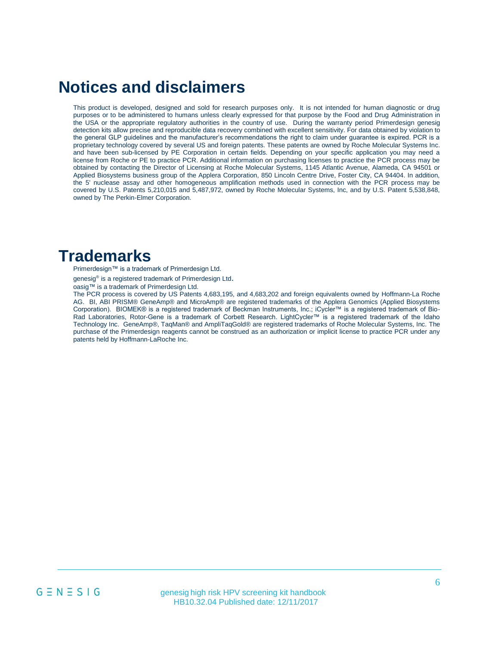### **Notices and disclaimers**

This product is developed, designed and sold for research purposes only. It is not intended for human diagnostic or drug purposes or to be administered to humans unless clearly expressed for that purpose by the Food and Drug Administration in the USA or the appropriate regulatory authorities in the country of use. During the warranty period Primerdesign genesig detection kits allow precise and reproducible data recovery combined with excellent sensitivity. For data obtained by violation to the general GLP guidelines and the manufacturer's recommendations the right to claim under guarantee is expired. PCR is a proprietary technology covered by several US and foreign patents. These patents are owned by Roche Molecular Systems Inc. and have been sub-licensed by PE Corporation in certain fields. Depending on your specific application you may need a license from Roche or PE to practice PCR. Additional information on purchasing licenses to practice the PCR process may be obtained by contacting the Director of Licensing at Roche Molecular Systems, 1145 Atlantic Avenue, Alameda, CA 94501 or Applied Biosystems business group of the Applera Corporation, 850 Lincoln Centre Drive, Foster City, CA 94404. In addition, the 5' nuclease assay and other homogeneous amplification methods used in connection with the PCR process may be covered by U.S. Patents 5,210,015 and 5,487,972, owned by Roche Molecular Systems, Inc, and by U.S. Patent 5,538,848, owned by The Perkin-Elmer Corporation.

### **Trademarks**

Primerdesign™ is a trademark of Primerdesign Ltd.

genesig<sup>®</sup> is a registered trademark of Primerdesign Ltd.

oasig™ is a trademark of Primerdesign Ltd.

The PCR process is covered by US Patents 4,683,195, and 4,683,202 and foreign equivalents owned by Hoffmann-La Roche AG. BI, ABI PRISM® GeneAmp® and MicroAmp® are registered trademarks of the Applera Genomics (Applied Biosystems Corporation). BIOMEK® is a registered trademark of Beckman Instruments, Inc.; iCycler™ is a registered trademark of Bio-Rad Laboratories, Rotor-Gene is a trademark of Corbett Research. LightCycler™ is a registered trademark of the Idaho Technology Inc. GeneAmp®, TaqMan® and AmpliTaqGold® are registered trademarks of Roche Molecular Systems, Inc. The purchase of the Primerdesign reagents cannot be construed as an authorization or implicit license to practice PCR under any patents held by Hoffmann-LaRoche Inc.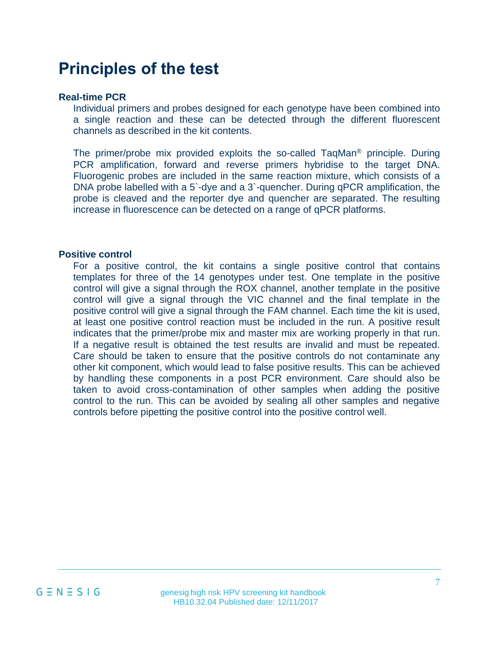### **Principles of the test**

#### **Real-time PCR**

Individual primers and probes designed for each genotype have been combined into a single reaction and these can be detected through the different fluorescent channels as described in the kit contents.

The primer/probe mix provided exploits the so-called  $TaqMan^{\circledcirc}$  principle. During PCR amplification, forward and reverse primers hybridise to the target DNA. Fluorogenic probes are included in the same reaction mixture, which consists of a DNA probe labelled with a 5`-dye and a 3`-quencher. During qPCR amplification, the probe is cleaved and the reporter dye and quencher are separated. The resulting increase in fluorescence can be detected on a range of qPCR platforms.

#### **Positive control**

For a positive control, the kit contains a single positive control that contains templates for three of the 14 genotypes under test. One template in the positive control will give a signal through the ROX channel, another template in the positive control will give a signal through the VIC channel and the final template in the positive control will give a signal through the FAM channel. Each time the kit is used, at least one positive control reaction must be included in the run. A positive result indicates that the primer/probe mix and master mix are working properly in that run. If a negative result is obtained the test results are invalid and must be repeated. Care should be taken to ensure that the positive controls do not contaminate any other kit component, which would lead to false positive results. This can be achieved by handling these components in a post PCR environment. Care should also be taken to avoid cross-contamination of other samples when adding the positive control to the run. This can be avoided by sealing all other samples and negative controls before pipetting the positive control into the positive control well.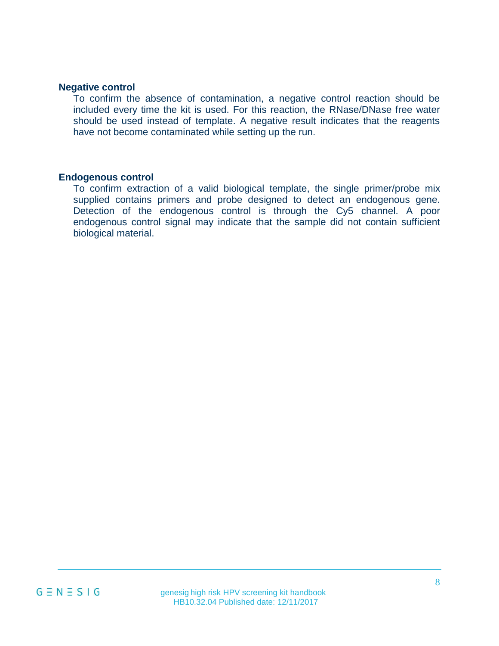#### **Negative control**

To confirm the absence of contamination, a negative control reaction should be included every time the kit is used. For this reaction, the RNase/DNase free water should be used instead of template. A negative result indicates that the reagents have not become contaminated while setting up the run.

#### **Endogenous control**

To confirm extraction of a valid biological template, the single primer/probe mix supplied contains primers and probe designed to detect an endogenous gene. Detection of the endogenous control is through the Cy5 channel. A poor endogenous control signal may indicate that the sample did not contain sufficient biological material.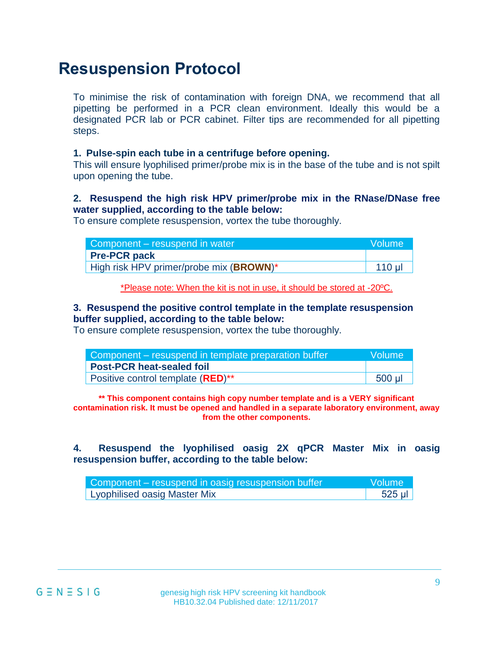### **Resuspension Protocol**

To minimise the risk of contamination with foreign DNA, we recommend that all pipetting be performed in a PCR clean environment. Ideally this would be a designated PCR lab or PCR cabinet. Filter tips are recommended for all pipetting steps.

#### **1. Pulse-spin each tube in a centrifuge before opening.**

This will ensure lyophilised primer/probe mix is in the base of the tube and is not spilt upon opening the tube.

#### **2. Resuspend the high risk HPV primer/probe mix in the RNase/DNase free water supplied, according to the table below:**

To ensure complete resuspension, vortex the tube thoroughly.

| Component – resuspend in water          | Volume  |
|-----------------------------------------|---------|
| <b>Pre-PCR pack</b>                     |         |
| High risk HPV primer/probe mix (BROWN)* | $110$ µ |

\*Please note: When the kit is not in use, it should be stored at -20ºC.

#### **3. Resuspend the positive control template in the template resuspension buffer supplied, according to the table below:**

To ensure complete resuspension, vortex the tube thoroughly.

| Component – resuspend in template preparation buffer   | Volume |
|--------------------------------------------------------|--------|
| Post-PCR heat-sealed foil                              |        |
| Positive control template ( <b>RED</b> ) <sup>**</sup> | 500 µl |

**\*\* This component contains high copy number template and is a VERY significant contamination risk. It must be opened and handled in a separate laboratory environment, away from the other components.**

**4. Resuspend the lyophilised oasig 2X qPCR Master Mix in oasig resuspension buffer, according to the table below:**

| Component – resuspend in oasig resuspension buffer | <b>Nolume</b> |
|----------------------------------------------------|---------------|
| <b>Lyophilised oasig Master Mix</b>                | 525 µl        |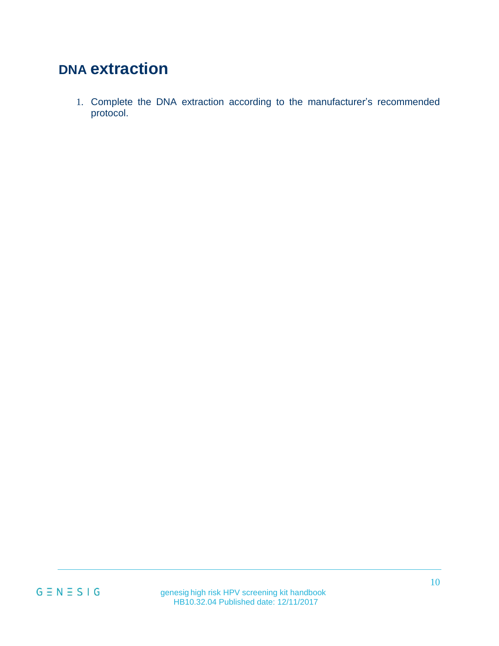## **DNA extraction**

1. Complete the DNA extraction according to the manufacturer's recommended protocol.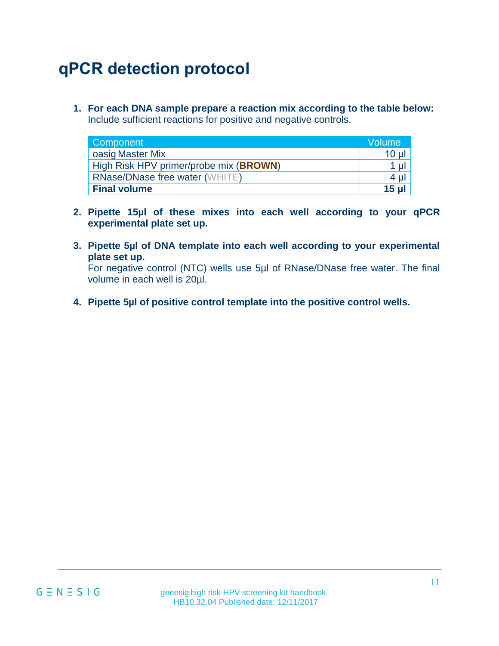# **qPCR detection protocol**

**1. For each DNA sample prepare a reaction mix according to the table below:**  Include sufficient reactions for positive and negative controls.

| Component                              | <b>Volume</b>  |
|----------------------------------------|----------------|
| oasig Master Mix                       | $10 \mu$       |
| High Risk HPV primer/probe mix (BROWN) | $1 \mu$        |
| <b>RNase/DNase free water (WHITE)</b>  | $4 \mu$        |
| <b>Final volume</b>                    | $15$ µ $\vert$ |

- **2. Pipette 15µl of these mixes into each well according to your qPCR experimental plate set up.**
- **3. Pipette 5µl of DNA template into each well according to your experimental plate set up.**

For negative control (NTC) wells use 5µl of RNase/DNase free water. The final volume in each well is 20µl.

**4. Pipette 5µl of positive control template into the positive control wells.**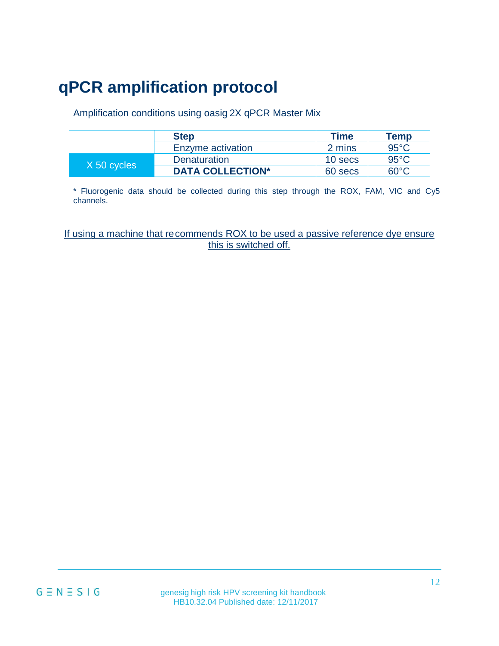# **qPCR amplification protocol**

Amplification conditions using oasig 2X qPCR Master Mix

|             | <b>Step</b>             | <b>Time</b> | Temp           |
|-------------|-------------------------|-------------|----------------|
|             | Enzyme activation       | 2 mins      | $95^{\circ}$ C |
| X 50 cycles | <b>Denaturation</b>     | 10 secs     | $95^{\circ}$ C |
|             | <b>DATA COLLECTION*</b> | 60 secs     | 60°C.          |

\* Fluorogenic data should be collected during this step through the ROX, FAM, VIC and Cy5 channels.

If using a machine that recommends ROX to be used a passive reference dye ensure this is switched off.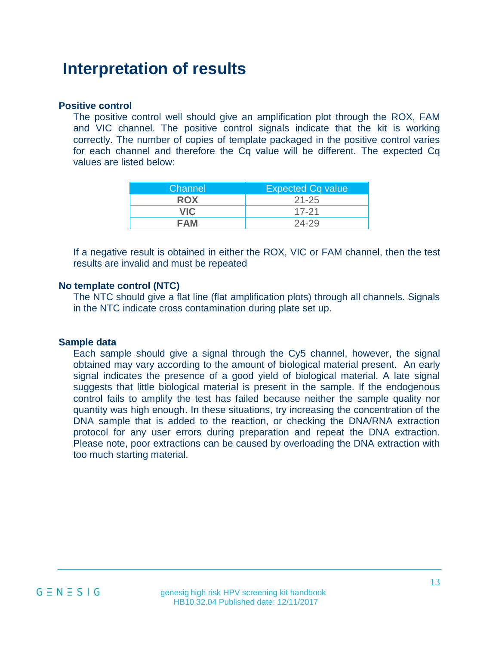### **Interpretation of results**

#### **Positive control**

The positive control well should give an amplification plot through the ROX, FAM and VIC channel. The positive control signals indicate that the kit is working correctly. The number of copies of template packaged in the positive control varies for each channel and therefore the Cq value will be different. The expected Cq values are listed below:

| Channel    | <b>Expected Cq value</b> |
|------------|--------------------------|
| <b>ROX</b> | $21 - 25$                |
| <b>VIC</b> | $17-21$                  |
| FAM        | 24-29                    |

If a negative result is obtained in either the ROX, VIC or FAM channel, then the test results are invalid and must be repeated

#### **No template control (NTC)**

The NTC should give a flat line (flat amplification plots) through all channels. Signals in the NTC indicate cross contamination during plate set up.

### **Sample data**

Each sample should give a signal through the Cy5 channel, however, the signal obtained may vary according to the amount of biological material present. An early signal indicates the presence of a good yield of biological material. A late signal suggests that little biological material is present in the sample. If the endogenous control fails to amplify the test has failed because neither the sample quality nor quantity was high enough. In these situations, try increasing the concentration of the DNA sample that is added to the reaction, or checking the DNA/RNA extraction protocol for any user errors during preparation and repeat the DNA extraction. Please note, poor extractions can be caused by overloading the DNA extraction with too much starting material.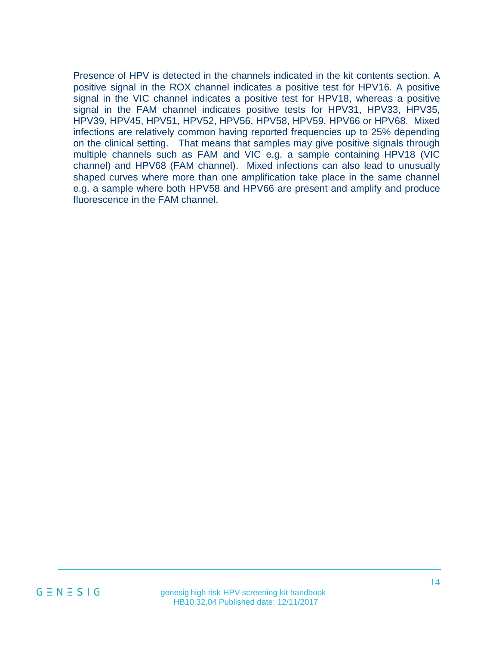Presence of HPV is detected in the channels indicated in the kit contents section. A positive signal in the ROX channel indicates a positive test for HPV16. A positive signal in the VIC channel indicates a positive test for HPV18, whereas a positive signal in the FAM channel indicates positive tests for HPV31, HPV33, HPV35, HPV39, HPV45, HPV51, HPV52, HPV56, HPV58, HPV59, HPV66 or HPV68. Mixed infections are relatively common having reported frequencies up to 25% depending on the clinical setting. That means that samples may give positive signals through multiple channels such as FAM and VIC e.g. a sample containing HPV18 (VIC channel) and HPV68 (FAM channel). Mixed infections can also lead to unusually shaped curves where more than one amplification take place in the same channel e.g. a sample where both HPV58 and HPV66 are present and amplify and produce fluorescence in the FAM channel.